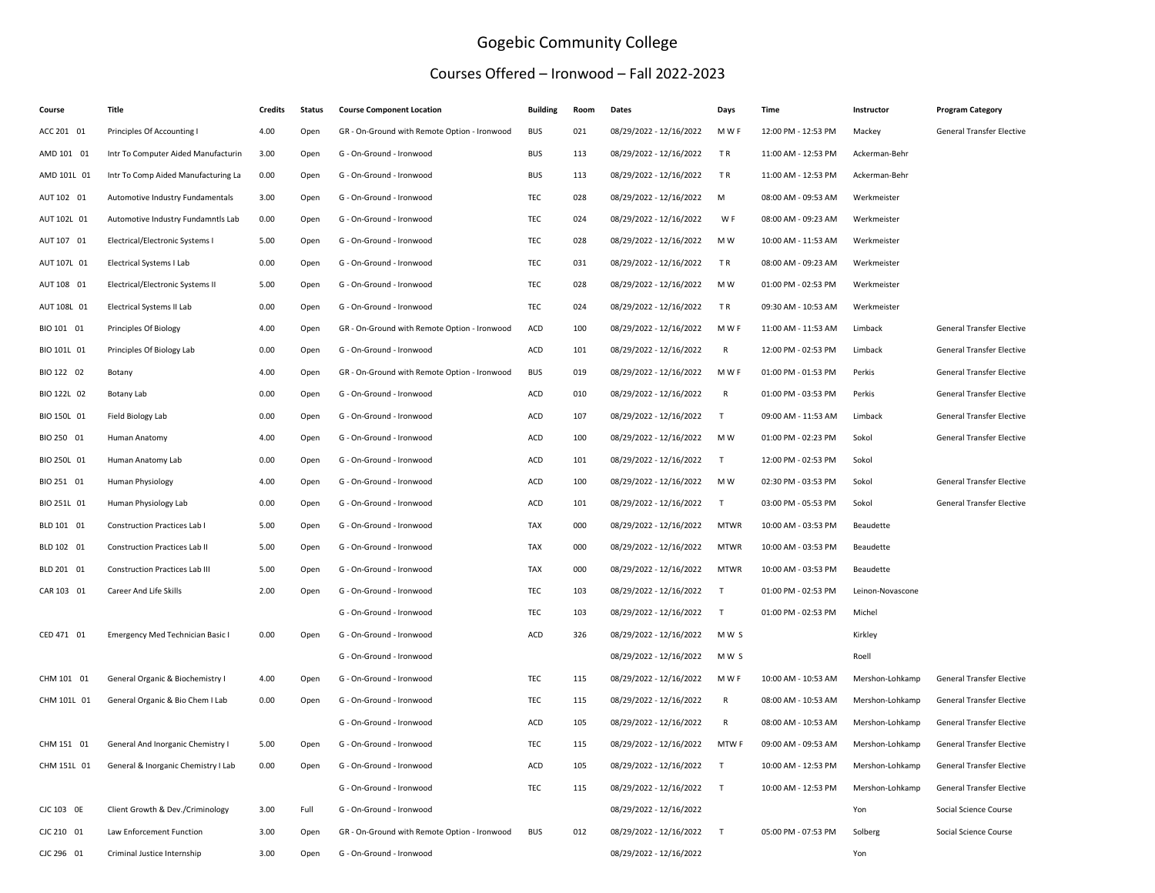## Gogebic Community College

## Courses Offered – Ironwood – Fall 2022-2023

| Course      | Title                                 | <b>Credits</b> | <b>Status</b> | <b>Course Component Location</b>             | <b>Building</b> | Room | Dates                   | Days         | Time                | Instructor       | <b>Program Category</b>          |
|-------------|---------------------------------------|----------------|---------------|----------------------------------------------|-----------------|------|-------------------------|--------------|---------------------|------------------|----------------------------------|
| ACC 201 01  | Principles Of Accounting I            | 4.00           | Open          | GR - On-Ground with Remote Option - Ironwood | <b>BUS</b>      | 021  | 08/29/2022 - 12/16/2022 | M W F        | 12:00 PM - 12:53 PM | Mackey           | General Transfer Elective        |
| AMD 101 01  | Intr To Computer Aided Manufacturin   | 3.00           | Open          | G - On-Ground - Ironwood                     | <b>BUS</b>      | 113  | 08/29/2022 - 12/16/2022 | TR           | 11:00 AM - 12:53 PM | Ackerman-Behr    |                                  |
| AMD 101L 01 | Intr To Comp Aided Manufacturing La   | 0.00           | Open          | G - On-Ground - Ironwood                     | <b>BUS</b>      | 113  | 08/29/2022 - 12/16/2022 | TR           | 11:00 AM - 12:53 PM | Ackerman-Behr    |                                  |
| AUT 102 01  | Automotive Industry Fundamentals      | 3.00           | Open          | G - On-Ground - Ironwood                     | TEC             | 028  | 08/29/2022 - 12/16/2022 | M            | 08:00 AM - 09:53 AM | Werkmeister      |                                  |
| AUT 102L 01 | Automotive Industry Fundamntls Lab    | 0.00           | Open          | G - On-Ground - Ironwood                     | TEC             | 024  | 08/29/2022 - 12/16/2022 | W F          | 08:00 AM - 09:23 AM | Werkmeister      |                                  |
| AUT 107 01  | Electrical/Electronic Systems I       | 5.00           | Open          | G - On-Ground - Ironwood                     | TEC             | 028  | 08/29/2022 - 12/16/2022 | M W          | 10:00 AM - 11:53 AM | Werkmeister      |                                  |
| AUT 107L 01 | Electrical Systems I Lab              | 0.00           | Open          | G - On-Ground - Ironwood                     | <b>TEC</b>      | 031  | 08/29/2022 - 12/16/2022 | TR           | 08:00 AM - 09:23 AM | Werkmeister      |                                  |
| AUT 108 01  | Electrical/Electronic Systems II      | 5.00           | Open          | G - On-Ground - Ironwood                     | TEC             | 028  | 08/29/2022 - 12/16/2022 | M W          | 01:00 PM - 02:53 PM | Werkmeister      |                                  |
| AUT 108L 01 | Electrical Systems II Lab             | 0.00           | Open          | G - On-Ground - Ironwood                     | TEC             | 024  | 08/29/2022 - 12/16/2022 | TR           | 09:30 AM - 10:53 AM | Werkmeister      |                                  |
| BIO 101 01  | Principles Of Biology                 | 4.00           | Open          | GR - On-Ground with Remote Option - Ironwood | ACD             | 100  | 08/29/2022 - 12/16/2022 | M W F        | 11:00 AM - 11:53 AM | Limback          | <b>General Transfer Elective</b> |
| BIO 101L 01 | Principles Of Biology Lab             | 0.00           | Open          | G - On-Ground - Ironwood                     | ACD             | 101  | 08/29/2022 - 12/16/2022 | R            | 12:00 PM - 02:53 PM | Limback          | General Transfer Elective        |
| BIO 122 02  | Botany                                | 4.00           | Open          | GR - On-Ground with Remote Option - Ironwood | <b>BUS</b>      | 019  | 08/29/2022 - 12/16/2022 | M W F        | 01:00 PM - 01:53 PM | Perkis           | General Transfer Elective        |
| BIO 122L 02 | Botany Lab                            | 0.00           | Open          | G - On-Ground - Ironwood                     | ACD             | 010  | 08/29/2022 - 12/16/2022 | $\mathsf{R}$ | 01:00 PM - 03:53 PM | Perkis           | <b>General Transfer Elective</b> |
| BIO 150L 01 | Field Biology Lab                     | 0.00           | Open          | G - On-Ground - Ironwood                     | ACD             | 107  | 08/29/2022 - 12/16/2022 | T            | 09:00 AM - 11:53 AM | Limback          | General Transfer Elective        |
| BIO 250 01  | Human Anatomy                         | 4.00           | Open          | G - On-Ground - Ironwood                     | ACD             | 100  | 08/29/2022 - 12/16/2022 | M W          | 01:00 PM - 02:23 PM | Sokol            | General Transfer Elective        |
| BIO 250L 01 | Human Anatomy Lab                     | 0.00           | Open          | G - On-Ground - Ironwood                     | ACD             | 101  | 08/29/2022 - 12/16/2022 | T            | 12:00 PM - 02:53 PM | Sokol            |                                  |
| BIO 251 01  | Human Physiology                      | 4.00           | Open          | G - On-Ground - Ironwood                     | ACD             | 100  | 08/29/2022 - 12/16/2022 | M W          | 02:30 PM - 03:53 PM | Sokol            | General Transfer Elective        |
| BIO 251L 01 | Human Physiology Lab                  | 0.00           | Open          | G - On-Ground - Ironwood                     | ACD             | 101  | 08/29/2022 - 12/16/2022 | T            | 03:00 PM - 05:53 PM | Sokol            | General Transfer Elective        |
| BLD 101 01  | <b>Construction Practices Lab I</b>   | 5.00           | Open          | G - On-Ground - Ironwood                     | <b>TAX</b>      | 000  | 08/29/2022 - 12/16/2022 | <b>MTWR</b>  | 10:00 AM - 03:53 PM | Beaudette        |                                  |
| BLD 102 01  | <b>Construction Practices Lab II</b>  | 5.00           | Open          | G - On-Ground - Ironwood                     | <b>TAX</b>      | 000  | 08/29/2022 - 12/16/2022 | <b>MTWR</b>  | 10:00 AM - 03:53 PM | Beaudette        |                                  |
| BLD 201 01  | <b>Construction Practices Lab III</b> | 5.00           | Open          | G - On-Ground - Ironwood                     | <b>TAX</b>      | 000  | 08/29/2022 - 12/16/2022 | <b>MTWR</b>  | 10:00 AM - 03:53 PM | Beaudette        |                                  |
| CAR 103 01  | Career And Life Skills                | 2.00           | Open          | G - On-Ground - Ironwood                     | TEC             | 103  | 08/29/2022 - 12/16/2022 | $\mathsf{T}$ | 01:00 PM - 02:53 PM | Leinon-Novascone |                                  |
|             |                                       |                |               | G - On-Ground - Ironwood                     | TEC             | 103  | 08/29/2022 - 12/16/2022 | T            | 01:00 PM - 02:53 PM | Michel           |                                  |
| CED 471 01  | Emergency Med Technician Basic I      | 0.00           | Open          | G - On-Ground - Ironwood                     | ACD             | 326  | 08/29/2022 - 12/16/2022 | MW S         |                     | Kirkley          |                                  |
|             |                                       |                |               | G - On-Ground - Ironwood                     |                 |      | 08/29/2022 - 12/16/2022 | MW S         |                     | Roell            |                                  |
| CHM 101 01  | General Organic & Biochemistry I      | 4.00           | Open          | G - On-Ground - Ironwood                     | TEC             | 115  | 08/29/2022 - 12/16/2022 | M W F        | 10:00 AM - 10:53 AM | Mershon-Lohkamp  | <b>General Transfer Elective</b> |
| CHM 101L 01 | General Organic & Bio Chem I Lab      | 0.00           | Open          | G - On-Ground - Ironwood                     | <b>TEC</b>      | 115  | 08/29/2022 - 12/16/2022 | R            | 08:00 AM - 10:53 AM | Mershon-Lohkamp  | General Transfer Elective        |
|             |                                       |                |               | G - On-Ground - Ironwood                     | ACD             | 105  | 08/29/2022 - 12/16/2022 | R            | 08:00 AM - 10:53 AM | Mershon-Lohkamp  | General Transfer Elective        |
| CHM 151 01  | General And Inorganic Chemistry I     | 5.00           | Open          | G - On-Ground - Ironwood                     | TEC             | 115  | 08/29/2022 - 12/16/2022 | MTW F        | 09:00 AM - 09:53 AM | Mershon-Lohkamp  | General Transfer Elective        |
| CHM 151L 01 | General & Inorganic Chemistry I Lab   | 0.00           | Open          | G - On-Ground - Ironwood                     | ACD             | 105  | 08/29/2022 - 12/16/2022 | T            | 10:00 AM - 12:53 PM | Mershon-Lohkamp  | General Transfer Elective        |
|             |                                       |                |               | G - On-Ground - Ironwood                     | TEC             | 115  | 08/29/2022 - 12/16/2022 | T            | 10:00 AM - 12:53 PM | Mershon-Lohkamp  | General Transfer Elective        |
| CJC 103 OE  | Client Growth & Dev./Criminology      | 3.00           | Full          | G - On-Ground - Ironwood                     |                 |      | 08/29/2022 - 12/16/2022 |              |                     | Yon              | Social Science Course            |
| CJC 210 01  | Law Enforcement Function              | 3.00           | Open          | GR - On-Ground with Remote Option - Ironwood | <b>BUS</b>      | 012  | 08/29/2022 - 12/16/2022 | $\mathsf{T}$ | 05:00 PM - 07:53 PM | Solberg          | Social Science Course            |
| CJC 296 01  | Criminal Justice Internship           | 3.00           | Open          | G - On-Ground - Ironwood                     |                 |      | 08/29/2022 - 12/16/2022 |              |                     | Yon              |                                  |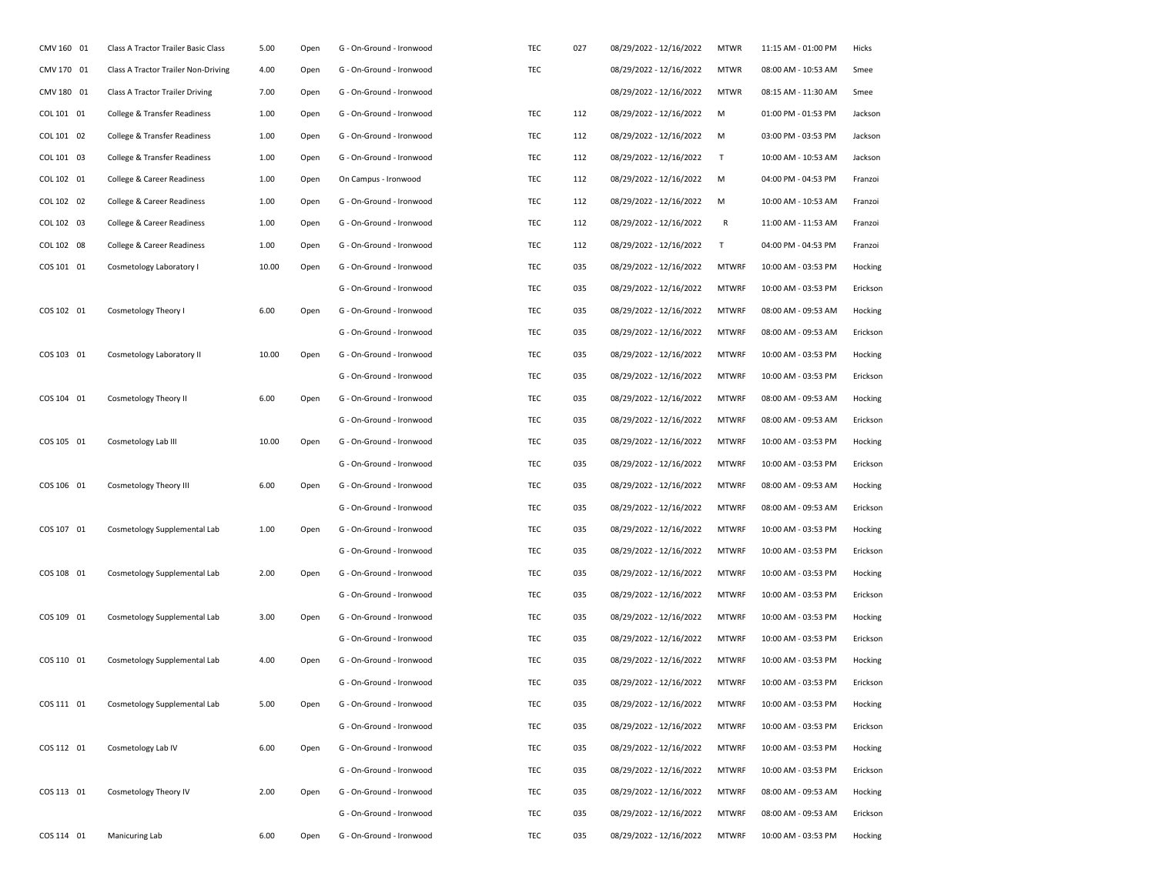| CMV 160 01 | Class A Tractor Trailer Basic Class   | 5.00  | Open | G - On-Ground - Ironwood | TEC | 027 | 08/29/2022 - 12/16/2022 | <b>MTWR</b>  | 11:15 AM - 01:00 PM | Hicks    |
|------------|---------------------------------------|-------|------|--------------------------|-----|-----|-------------------------|--------------|---------------------|----------|
| CMV 170 01 | Class A Tractor Trailer Non-Driving   | 4.00  | Open | G - On-Ground - Ironwood | TEC |     | 08/29/2022 - 12/16/2022 | <b>MTWR</b>  | 08:00 AM - 10:53 AM | Smee     |
| CMV 180 01 | Class A Tractor Trailer Driving       | 7.00  | Open | G - On-Ground - Ironwood |     |     | 08/29/2022 - 12/16/2022 | <b>MTWR</b>  | 08:15 AM - 11:30 AM | Smee     |
| COL 101 01 | College & Transfer Readiness          | 1.00  | Open | G - On-Ground - Ironwood | TEC | 112 | 08/29/2022 - 12/16/2022 | м            | 01:00 PM - 01:53 PM | Jackson  |
| COL 101 02 | College & Transfer Readiness          | 1.00  | Open | G - On-Ground - Ironwood | TEC | 112 | 08/29/2022 - 12/16/2022 | м            | 03:00 PM - 03:53 PM | Jackson  |
| COL 101 03 | College & Transfer Readiness          | 1.00  | Open | G - On-Ground - Ironwood | TEC | 112 | 08/29/2022 - 12/16/2022 | Τ            | 10:00 AM - 10:53 AM | Jackson  |
| COL 102 01 | College & Career Readiness            | 1.00  | Open | On Campus - Ironwood     | TEC | 112 | 08/29/2022 - 12/16/2022 | м            | 04:00 PM - 04:53 PM | Franzoi  |
| COL 102 02 | <b>College &amp; Career Readiness</b> | 1.00  | Open | G - On-Ground - Ironwood | TEC | 112 | 08/29/2022 - 12/16/2022 | м            | 10:00 AM - 10:53 AM | Franzoi  |
| COL 102 03 | College & Career Readiness            | 1.00  | Open | G - On-Ground - Ironwood | TEC | 112 | 08/29/2022 - 12/16/2022 | R            | 11:00 AM - 11:53 AM | Franzoi  |
| COL 102 08 | College & Career Readiness            | 1.00  | Open | G - On-Ground - Ironwood | TEC | 112 | 08/29/2022 - 12/16/2022 | Τ            | 04:00 PM - 04:53 PM | Franzoi  |
| COS 101 01 | Cosmetology Laboratory I              | 10.00 | Open | G - On-Ground - Ironwood | TEC | 035 | 08/29/2022 - 12/16/2022 | <b>MTWRF</b> | 10:00 AM - 03:53 PM | Hocking  |
|            |                                       |       |      | G - On-Ground - Ironwood | TEC | 035 | 08/29/2022 - 12/16/2022 | <b>MTWRF</b> | 10:00 AM - 03:53 PM | Erickson |
| COS 102 01 | Cosmetology Theory I                  | 6.00  | Open | G - On-Ground - Ironwood | TEC | 035 | 08/29/2022 - 12/16/2022 | <b>MTWRF</b> | 08:00 AM - 09:53 AM | Hocking  |
|            |                                       |       |      | G - On-Ground - Ironwood | TEC | 035 | 08/29/2022 - 12/16/2022 | <b>MTWRF</b> | 08:00 AM - 09:53 AM | Erickson |
| COS 103 01 | Cosmetology Laboratory II             | 10.00 | Open | G - On-Ground - Ironwood | TEC | 035 | 08/29/2022 - 12/16/2022 | <b>MTWRF</b> | 10:00 AM - 03:53 PM | Hocking  |
|            |                                       |       |      | G - On-Ground - Ironwood | TEC | 035 | 08/29/2022 - 12/16/2022 | <b>MTWRF</b> | 10:00 AM - 03:53 PM | Erickson |
| COS 104 01 | Cosmetology Theory II                 | 6.00  | Open | G - On-Ground - Ironwood | TEC | 035 | 08/29/2022 - 12/16/2022 | <b>MTWRF</b> | 08:00 AM - 09:53 AM | Hocking  |
|            |                                       |       |      | G - On-Ground - Ironwood | TEC | 035 | 08/29/2022 - 12/16/2022 | <b>MTWRF</b> | 08:00 AM - 09:53 AM | Erickson |
| COS 105 01 | Cosmetology Lab III                   | 10.00 | Open | G - On-Ground - Ironwood | TEC | 035 | 08/29/2022 - 12/16/2022 | <b>MTWRF</b> | 10:00 AM - 03:53 PM | Hocking  |
|            |                                       |       |      | G - On-Ground - Ironwood | TEC | 035 | 08/29/2022 - 12/16/2022 | <b>MTWRF</b> | 10:00 AM - 03:53 PM | Erickson |
| COS 106 01 | Cosmetology Theory III                | 6.00  | Open | G - On-Ground - Ironwood | TEC | 035 | 08/29/2022 - 12/16/2022 | <b>MTWRF</b> | 08:00 AM - 09:53 AM | Hocking  |
|            |                                       |       |      | G - On-Ground - Ironwood | TEC | 035 | 08/29/2022 - 12/16/2022 | <b>MTWRF</b> | 08:00 AM - 09:53 AM | Erickson |
| COS 107 01 | Cosmetology Supplemental Lab          | 1.00  | Open | G - On-Ground - Ironwood | TEC | 035 | 08/29/2022 - 12/16/2022 | <b>MTWRF</b> | 10:00 AM - 03:53 PM | Hocking  |
|            |                                       |       |      | G - On-Ground - Ironwood | TEC | 035 | 08/29/2022 - 12/16/2022 | <b>MTWRF</b> | 10:00 AM - 03:53 PM | Erickson |
| COS 108 01 | Cosmetology Supplemental Lab          | 2.00  | Open | G - On-Ground - Ironwood | TEC | 035 | 08/29/2022 - 12/16/2022 | <b>MTWRF</b> | 10:00 AM - 03:53 PM | Hocking  |
|            |                                       |       |      | G - On-Ground - Ironwood | TEC | 035 | 08/29/2022 - 12/16/2022 | <b>MTWRF</b> | 10:00 AM - 03:53 PM | Erickson |
| COS 109 01 | Cosmetology Supplemental Lab          | 3.00  | Open | G - On-Ground - Ironwood | TEC | 035 | 08/29/2022 - 12/16/2022 | <b>MTWRF</b> | 10:00 AM - 03:53 PM | Hocking  |
|            |                                       |       |      | G - On-Ground - Ironwood | TEC | 035 | 08/29/2022 - 12/16/2022 | <b>MTWRF</b> | 10:00 AM - 03:53 PM | Erickson |
| COS 110 01 | Cosmetology Supplemental Lab          | 4.00  | Open | G - On-Ground - Ironwood | TEC | 035 | 08/29/2022 - 12/16/2022 | <b>MTWRF</b> | 10:00 AM - 03:53 PM | Hocking  |
|            |                                       |       |      | G - On-Ground - Ironwood | TEC | 035 | 08/29/2022 - 12/16/2022 | <b>MTWRF</b> | 10:00 AM - 03:53 PM | Erickson |
| COS 111 01 | Cosmetology Supplemental Lab          | 5.00  | Open | G - On-Ground - Ironwood | TEC | 035 | 08/29/2022 - 12/16/2022 | <b>MTWRF</b> | 10:00 AM - 03:53 PM | Hocking  |
|            |                                       |       |      | G - On-Ground - Ironwood | TEC | 035 | 08/29/2022 - 12/16/2022 | <b>MTWRF</b> | 10:00 AM - 03:53 PM | Erickson |
| COS 112 01 | Cosmetology Lab IV                    | 6.00  | Open | G - On-Ground - Ironwood | TEC | 035 | 08/29/2022 - 12/16/2022 | <b>MTWRF</b> | 10:00 AM - 03:53 PM | Hocking  |
|            |                                       |       |      | G - On-Ground - Ironwood | TEC | 035 | 08/29/2022 - 12/16/2022 | <b>MTWRF</b> | 10:00 AM - 03:53 PM | Erickson |
| COS 113 01 | Cosmetology Theory IV                 | 2.00  | Open | G - On-Ground - Ironwood | TEC | 035 | 08/29/2022 - 12/16/2022 | <b>MTWRF</b> | 08:00 AM - 09:53 AM | Hocking  |
|            |                                       |       |      | G - On-Ground - Ironwood | TEC | 035 | 08/29/2022 - 12/16/2022 | <b>MTWRF</b> | 08:00 AM - 09:53 AM | Erickson |
| COS 114 01 | Manicuring Lab                        | 6.00  | Open | G - On-Ground - Ironwood | TEC | 035 | 08/29/2022 - 12/16/2022 | <b>MTWRF</b> | 10:00 AM - 03:53 PM | Hocking  |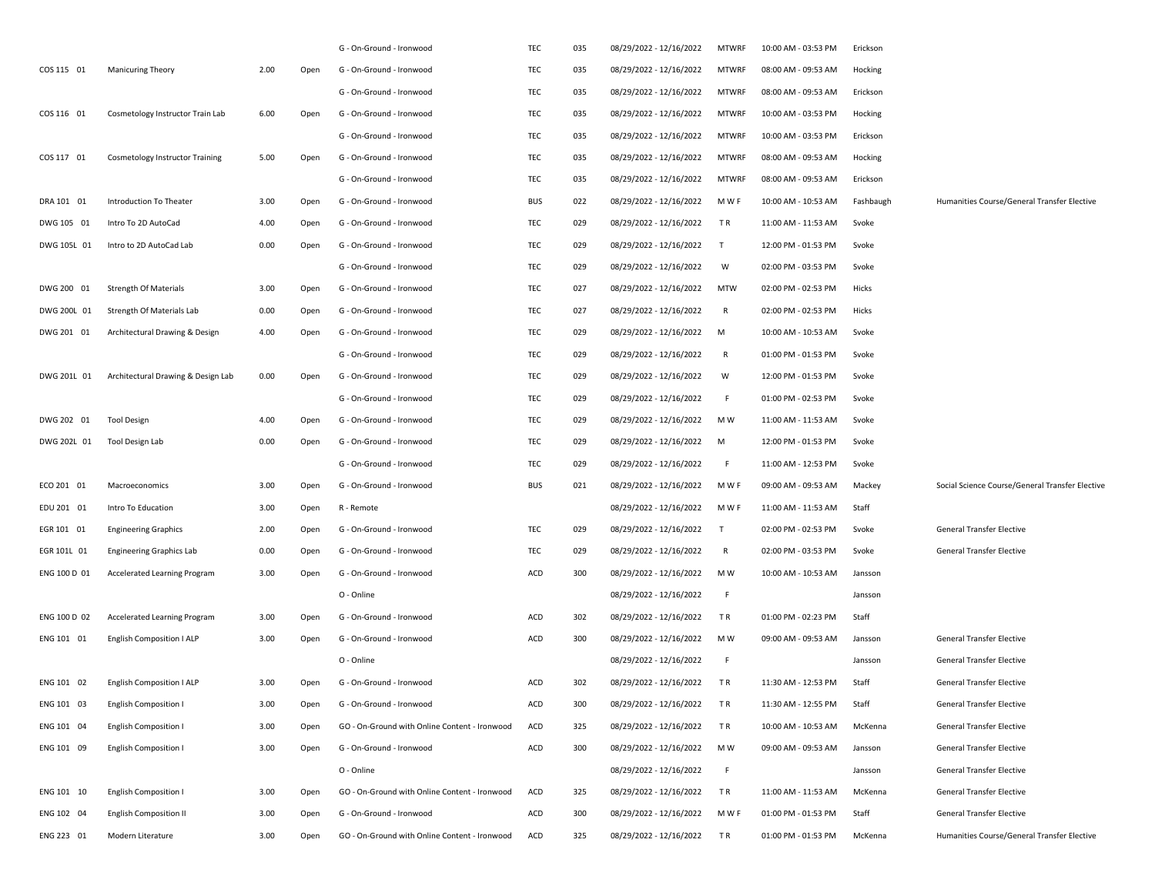|              |                                    |      |      | G - On-Ground - Ironwood                      | TEC        | 035 | 08/29/2022 - 12/16/2022 | <b>MTWRF</b> | 10:00 AM - 03:53 PM | Erickson  |                                                 |
|--------------|------------------------------------|------|------|-----------------------------------------------|------------|-----|-------------------------|--------------|---------------------|-----------|-------------------------------------------------|
| COS 115 01   | <b>Manicuring Theory</b>           | 2.00 | Open | G - On-Ground - Ironwood                      | TEC        | 035 | 08/29/2022 - 12/16/2022 | <b>MTWRF</b> | 08:00 AM - 09:53 AM | Hocking   |                                                 |
|              |                                    |      |      | G - On-Ground - Ironwood                      | TEC        | 035 | 08/29/2022 - 12/16/2022 | <b>MTWRF</b> | 08:00 AM - 09:53 AM | Erickson  |                                                 |
| COS 116 01   | Cosmetology Instructor Train Lab   | 6.00 | Open | G - On-Ground - Ironwood                      | TEC        | 035 | 08/29/2022 - 12/16/2022 | <b>MTWRF</b> | 10:00 AM - 03:53 PM | Hocking   |                                                 |
|              |                                    |      |      | G - On-Ground - Ironwood                      | TEC        | 035 | 08/29/2022 - 12/16/2022 | <b>MTWRF</b> | 10:00 AM - 03:53 PM | Erickson  |                                                 |
| COS 117 01   | Cosmetology Instructor Training    | 5.00 | Open | G - On-Ground - Ironwood                      | TEC        | 035 | 08/29/2022 - 12/16/2022 | <b>MTWRF</b> | 08:00 AM - 09:53 AM | Hocking   |                                                 |
|              |                                    |      |      | G - On-Ground - Ironwood                      | TEC        | 035 | 08/29/2022 - 12/16/2022 | <b>MTWRF</b> | 08:00 AM - 09:53 AM | Erickson  |                                                 |
| DRA 101 01   | Introduction To Theater            | 3.00 | Open | G - On-Ground - Ironwood                      | <b>BUS</b> | 022 | 08/29/2022 - 12/16/2022 | M W F        | 10:00 AM - 10:53 AM | Fashbaugh | Humanities Course/General Transfer Elective     |
| DWG 105 01   | Intro To 2D AutoCad                | 4.00 | Open | G - On-Ground - Ironwood                      | TEC        | 029 | 08/29/2022 - 12/16/2022 | TR           | 11:00 AM - 11:53 AM | Svoke     |                                                 |
| DWG 105L 01  | Intro to 2D AutoCad Lab            | 0.00 | Open | G - On-Ground - Ironwood                      | TEC        | 029 | 08/29/2022 - 12/16/2022 | $\top$       | 12:00 PM - 01:53 PM | Svoke     |                                                 |
|              |                                    |      |      | G - On-Ground - Ironwood                      | TEC        | 029 | 08/29/2022 - 12/16/2022 | W            | 02:00 PM - 03:53 PM | Svoke     |                                                 |
| DWG 200 01   | <b>Strength Of Materials</b>       | 3.00 | Open | G - On-Ground - Ironwood                      | TEC        | 027 | 08/29/2022 - 12/16/2022 | <b>MTW</b>   | 02:00 PM - 02:53 PM | Hicks     |                                                 |
| DWG 200L 01  | Strength Of Materials Lab          | 0.00 | Open | G - On-Ground - Ironwood                      | TEC        | 027 | 08/29/2022 - 12/16/2022 | R            | 02:00 PM - 02:53 PM | Hicks     |                                                 |
| DWG 201 01   | Architectural Drawing & Design     | 4.00 | Open | G - On-Ground - Ironwood                      | TEC        | 029 | 08/29/2022 - 12/16/2022 | M            | 10:00 AM - 10:53 AM | Svoke     |                                                 |
|              |                                    |      |      | G - On-Ground - Ironwood                      | TEC        | 029 | 08/29/2022 - 12/16/2022 | R            | 01:00 PM - 01:53 PM | Svoke     |                                                 |
| DWG 201L 01  | Architectural Drawing & Design Lab | 0.00 | Open | G - On-Ground - Ironwood                      | TEC        | 029 | 08/29/2022 - 12/16/2022 | W            | 12:00 PM - 01:53 PM | Svoke     |                                                 |
|              |                                    |      |      | G - On-Ground - Ironwood                      | TEC        | 029 | 08/29/2022 - 12/16/2022 | F.           | 01:00 PM - 02:53 PM | Svoke     |                                                 |
| DWG 202 01   | <b>Tool Design</b>                 | 4.00 | Open | G - On-Ground - Ironwood                      | TEC        | 029 | 08/29/2022 - 12/16/2022 | M W          | 11:00 AM - 11:53 AM | Svoke     |                                                 |
| DWG 202L 01  | Tool Design Lab                    | 0.00 | Open | G - On-Ground - Ironwood                      | TEC        | 029 | 08/29/2022 - 12/16/2022 | M            | 12:00 PM - 01:53 PM | Svoke     |                                                 |
|              |                                    |      |      | G - On-Ground - Ironwood                      | TEC        | 029 | 08/29/2022 - 12/16/2022 | F.           | 11:00 AM - 12:53 PM | Svoke     |                                                 |
| ECO 201 01   | Macroeconomics                     | 3.00 | Open | G - On-Ground - Ironwood                      | <b>BUS</b> | 021 | 08/29/2022 - 12/16/2022 | M W F        | 09:00 AM - 09:53 AM | Mackey    | Social Science Course/General Transfer Elective |
| EDU 201 01   | Intro To Education                 | 3.00 | Open | R - Remote                                    |            |     | 08/29/2022 - 12/16/2022 | M W F        | 11:00 AM - 11:53 AM | Staff     |                                                 |
| EGR 101 01   | <b>Engineering Graphics</b>        | 2.00 | Open | G - On-Ground - Ironwood                      | TEC        | 029 | 08/29/2022 - 12/16/2022 | $\mathsf{T}$ | 02:00 PM - 02:53 PM | Svoke     | General Transfer Elective                       |
| EGR 101L 01  | <b>Engineering Graphics Lab</b>    | 0.00 | Open | G - On-Ground - Ironwood                      | TEC        | 029 | 08/29/2022 - 12/16/2022 | R            | 02:00 PM - 03:53 PM | Svoke     | General Transfer Elective                       |
| ENG 100 D 01 | Accelerated Learning Program       | 3.00 | Open | G - On-Ground - Ironwood                      | ACD        | 300 | 08/29/2022 - 12/16/2022 | M W          | 10:00 AM - 10:53 AM | Jansson   |                                                 |
|              |                                    |      |      | O - Online                                    |            |     | 08/29/2022 - 12/16/2022 | F.           |                     | Jansson   |                                                 |
| ENG 100 D 02 | Accelerated Learning Program       | 3.00 | Open | G - On-Ground - Ironwood                      | ACD        | 302 | 08/29/2022 - 12/16/2022 | TR           | 01:00 PM - 02:23 PM | Staff     |                                                 |
| ENG 101 01   | <b>English Composition I ALP</b>   | 3.00 | Open | G - On-Ground - Ironwood                      | ACD        | 300 | 08/29/2022 - 12/16/2022 | M W          | 09:00 AM - 09:53 AM | Jansson   | General Transfer Elective                       |
|              |                                    |      |      | O - Online                                    |            |     | 08/29/2022 - 12/16/2022 | F.           |                     | Jansson   | General Transfer Elective                       |
| ENG 101 02   | English Composition I ALP          | 3.00 | Open | G - On-Ground - Ironwood                      | ACD        | 302 | 08/29/2022 - 12/16/2022 | T R          | 11:30 AM - 12:53 PM | Staff     | General Transfer Elective                       |
| ENG 101 03   | <b>English Composition I</b>       | 3.00 | Open | G - On-Ground - Ironwood                      | ACD        | 300 | 08/29/2022 - 12/16/2022 | TR           | 11:30 AM - 12:55 PM | Staff     | General Transfer Elective                       |
| ENG 101 04   | <b>English Composition I</b>       | 3.00 | Open | GO - On-Ground with Online Content - Ironwood | ACD        | 325 | 08/29/2022 - 12/16/2022 | TR           | 10:00 AM - 10:53 AM | McKenna   | General Transfer Elective                       |
| ENG 101 09   | <b>English Composition I</b>       | 3.00 | Open | G - On-Ground - Ironwood                      | ACD        | 300 | 08/29/2022 - 12/16/2022 | M W          | 09:00 AM - 09:53 AM | Jansson   | General Transfer Elective                       |
|              |                                    |      |      | O - Online                                    |            |     | 08/29/2022 - 12/16/2022 | F.           |                     | Jansson   | General Transfer Elective                       |
| ENG 101 10   | <b>English Composition I</b>       | 3.00 | Open | GO - On-Ground with Online Content - Ironwood | ACD        | 325 | 08/29/2022 - 12/16/2022 | TR           | 11:00 AM - 11:53 AM | McKenna   | General Transfer Elective                       |
| ENG 102 04   | <b>English Composition II</b>      | 3.00 | Open | G - On-Ground - Ironwood                      | ACD        | 300 | 08/29/2022 - 12/16/2022 | M W F        | 01:00 PM - 01:53 PM | Staff     | General Transfer Elective                       |
| ENG 223 01   | Modern Literature                  | 3.00 | Open | GO - On-Ground with Online Content - Ironwood | ACD        | 325 | 08/29/2022 - 12/16/2022 | TR           | 01:00 PM - 01:53 PM | McKenna   | Humanities Course/General Transfer Elective     |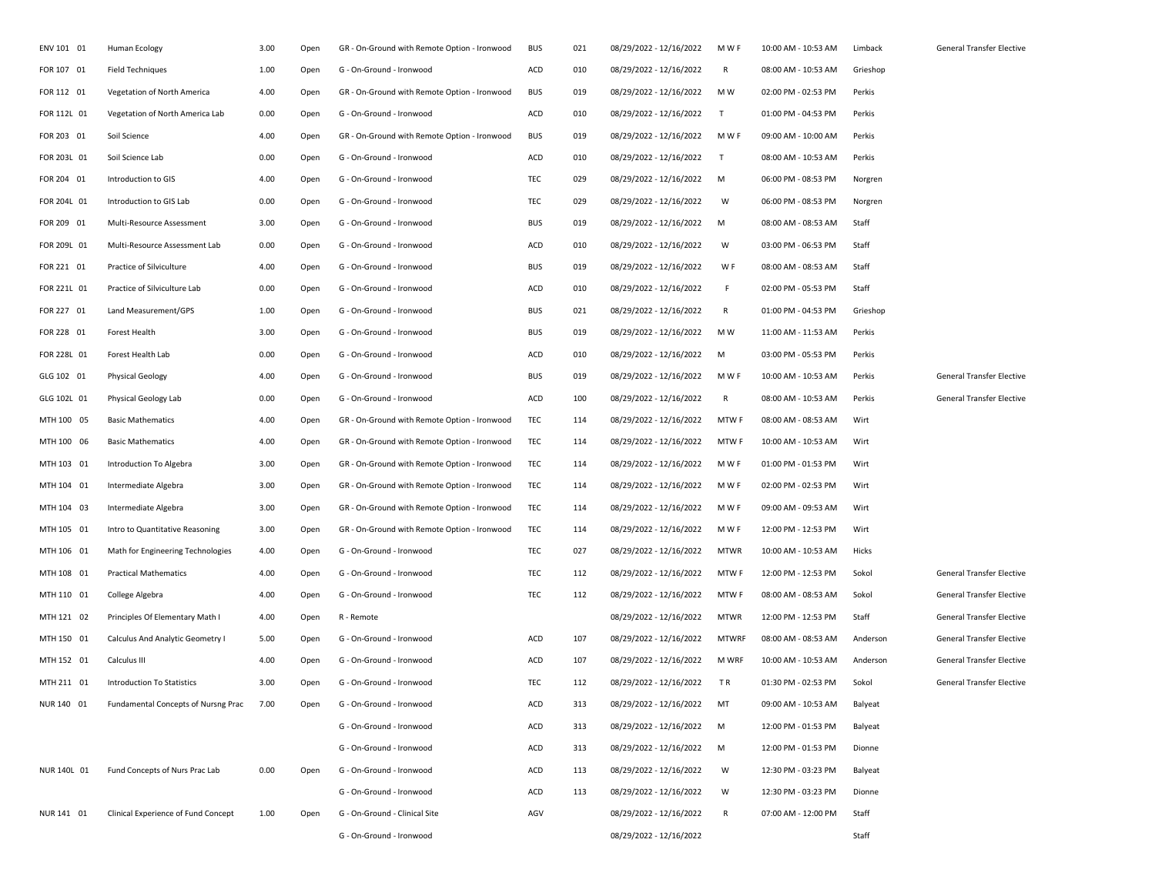| ENV 101 01  | Human Ecology                       | 3.00 | Open | GR - On-Ground with Remote Option - Ironwood | <b>BUS</b> | 021 | 08/29/2022 - 12/16/2022 | M W F        | 10:00 AM - 10:53 AM | Limback  | General Transfer Elective |
|-------------|-------------------------------------|------|------|----------------------------------------------|------------|-----|-------------------------|--------------|---------------------|----------|---------------------------|
| FOR 107 01  | <b>Field Techniques</b>             | 1.00 | Open | G - On-Ground - Ironwood                     | ACD        | 010 | 08/29/2022 - 12/16/2022 | R            | 08:00 AM - 10:53 AM | Grieshop |                           |
| FOR 112 01  | Vegetation of North America         | 4.00 | Open | GR - On-Ground with Remote Option - Ironwood | <b>BUS</b> | 019 | 08/29/2022 - 12/16/2022 | M W          | 02:00 PM - 02:53 PM | Perkis   |                           |
| FOR 112L 01 | Vegetation of North America Lab     | 0.00 | Open | G - On-Ground - Ironwood                     | ACD        | 010 | 08/29/2022 - 12/16/2022 | $\mathsf{T}$ | 01:00 PM - 04:53 PM | Perkis   |                           |
| FOR 203 01  | Soil Science                        | 4.00 | Open | GR - On-Ground with Remote Option - Ironwood | <b>BUS</b> | 019 | 08/29/2022 - 12/16/2022 | M W F        | 09:00 AM - 10:00 AM | Perkis   |                           |
| FOR 203L 01 | Soil Science Lab                    | 0.00 | Open | G - On-Ground - Ironwood                     | ACD        | 010 | 08/29/2022 - 12/16/2022 | $\mathsf{T}$ | 08:00 AM - 10:53 AM | Perkis   |                           |
| FOR 204 01  | Introduction to GIS                 | 4.00 | Open | G - On-Ground - Ironwood                     | TEC        | 029 | 08/29/2022 - 12/16/2022 | М            | 06:00 PM - 08:53 PM | Norgren  |                           |
| FOR 204L 01 | Introduction to GIS Lab             | 0.00 | Open | G - On-Ground - Ironwood                     | TEC        | 029 | 08/29/2022 - 12/16/2022 | W            | 06:00 PM - 08:53 PM | Norgren  |                           |
| FOR 209 01  | Multi-Resource Assessment           | 3.00 | Open | G - On-Ground - Ironwood                     | <b>BUS</b> | 019 | 08/29/2022 - 12/16/2022 | М            | 08:00 AM - 08:53 AM | Staff    |                           |
| FOR 209L 01 | Multi-Resource Assessment Lab       | 0.00 | Open | G - On-Ground - Ironwood                     | ACD        | 010 | 08/29/2022 - 12/16/2022 | W            | 03:00 PM - 06:53 PM | Staff    |                           |
| FOR 221 01  | Practice of Silviculture            | 4.00 | Open | G - On-Ground - Ironwood                     | <b>BUS</b> | 019 | 08/29/2022 - 12/16/2022 | W F          | 08:00 AM - 08:53 AM | Staff    |                           |
| FOR 221L 01 | Practice of Silviculture Lab        | 0.00 | Open | G - On-Ground - Ironwood                     | ACD        | 010 | 08/29/2022 - 12/16/2022 | F            | 02:00 PM - 05:53 PM | Staff    |                           |
| FOR 227 01  | Land Measurement/GPS                | 1.00 | Open | G - On-Ground - Ironwood                     | <b>BUS</b> | 021 | 08/29/2022 - 12/16/2022 | R            | 01:00 PM - 04:53 PM | Grieshop |                           |
| FOR 228 01  | Forest Health                       | 3.00 | Open | G - On-Ground - Ironwood                     | <b>BUS</b> | 019 | 08/29/2022 - 12/16/2022 | M W          | 11:00 AM - 11:53 AM | Perkis   |                           |
| FOR 228L 01 | Forest Health Lab                   | 0.00 | Open | G - On-Ground - Ironwood                     | ACD        | 010 | 08/29/2022 - 12/16/2022 | М            | 03:00 PM - 05:53 PM | Perkis   |                           |
| GLG 102 01  | <b>Physical Geology</b>             | 4.00 | Open | G - On-Ground - Ironwood                     | <b>BUS</b> | 019 | 08/29/2022 - 12/16/2022 | M W F        | 10:00 AM - 10:53 AM | Perkis   | General Transfer Elective |
| GLG 102L 01 | Physical Geology Lab                | 0.00 | Open | G - On-Ground - Ironwood                     | ACD        | 100 | 08/29/2022 - 12/16/2022 | R            | 08:00 AM - 10:53 AM | Perkis   | General Transfer Elective |
| MTH 100 05  | <b>Basic Mathematics</b>            | 4.00 | Open | GR - On-Ground with Remote Option - Ironwood | TEC        | 114 | 08/29/2022 - 12/16/2022 | <b>MTWF</b>  | 08:00 AM - 08:53 AM | Wirt     |                           |
| MTH 100 06  | <b>Basic Mathematics</b>            | 4.00 | Open | GR - On-Ground with Remote Option - Ironwood | TEC        | 114 | 08/29/2022 - 12/16/2022 | <b>MTWF</b>  | 10:00 AM - 10:53 AM | Wirt     |                           |
| MTH 103 01  | Introduction To Algebra             | 3.00 | Open | GR - On-Ground with Remote Option - Ironwood | TEC        | 114 | 08/29/2022 - 12/16/2022 | M W F        | 01:00 PM - 01:53 PM | Wirt     |                           |
| MTH 104 01  | Intermediate Algebra                | 3.00 | Open | GR - On-Ground with Remote Option - Ironwood | TEC        | 114 | 08/29/2022 - 12/16/2022 | M W F        | 02:00 PM - 02:53 PM | Wirt     |                           |
| MTH 104 03  | Intermediate Algebra                | 3.00 | Open | GR - On-Ground with Remote Option - Ironwood | TEC        | 114 | 08/29/2022 - 12/16/2022 | M W F        | 09:00 AM - 09:53 AM | Wirt     |                           |
| MTH 105 01  | Intro to Quantitative Reasoning     | 3.00 | Open | GR - On-Ground with Remote Option - Ironwood | TEC        | 114 | 08/29/2022 - 12/16/2022 | M W F        | 12:00 PM - 12:53 PM | Wirt     |                           |
| MTH 106 01  | Math for Engineering Technologies   | 4.00 | Open | G - On-Ground - Ironwood                     | TEC        | 027 | 08/29/2022 - 12/16/2022 | <b>MTWR</b>  | 10:00 AM - 10:53 AM | Hicks    |                           |
| MTH 108 01  | <b>Practical Mathematics</b>        | 4.00 | Open | G - On-Ground - Ironwood                     | TEC        | 112 | 08/29/2022 - 12/16/2022 | <b>MTWF</b>  | 12:00 PM - 12:53 PM | Sokol    | General Transfer Elective |
| MTH 110 01  | College Algebra                     | 4.00 | Open | G - On-Ground - Ironwood                     | TEC        | 112 | 08/29/2022 - 12/16/2022 | <b>MTWF</b>  | 08:00 AM - 08:53 AM | Sokol    | General Transfer Elective |
| MTH 121 02  | Principles Of Elementary Math I     | 4.00 | Open | R - Remote                                   |            |     | 08/29/2022 - 12/16/2022 | <b>MTWR</b>  | 12:00 PM - 12:53 PM | Staff    | General Transfer Elective |
| MTH 150 01  | Calculus And Analytic Geometry I    | 5.00 | Open | G - On-Ground - Ironwood                     | ACD        | 107 | 08/29/2022 - 12/16/2022 | <b>MTWRF</b> | 08:00 AM - 08:53 AM | Anderson | General Transfer Elective |
| MTH 152 01  | Calculus III                        | 4.00 | Open | G - On-Ground - Ironwood                     | ACD        | 107 | 08/29/2022 - 12/16/2022 | <b>M WRF</b> | 10:00 AM - 10:53 AM | Anderson | General Transfer Elective |
| MTH 211 01  | <b>Introduction To Statistics</b>   | 3.00 | Open | G - On-Ground - Ironwood                     | TEC        | 112 | 08/29/2022 - 12/16/2022 | TR           | 01:30 PM - 02:53 PM | Sokol    | General Transfer Elective |
| NUR 140 01  | Fundamental Concepts of Nursng Prac | 7.00 | Open | G - On-Ground - Ironwood                     | ACD        | 313 | 08/29/2022 - 12/16/2022 | MT           | 09:00 AM - 10:53 AM | Balyeat  |                           |
|             |                                     |      |      | G - On-Ground - Ironwood                     | ACD        | 313 | 08/29/2022 - 12/16/2022 | M            | 12:00 PM - 01:53 PM | Balyeat  |                           |
|             |                                     |      |      | G - On-Ground - Ironwood                     | ACD        | 313 | 08/29/2022 - 12/16/2022 | м            | 12:00 PM - 01:53 PM | Dionne   |                           |
| NUR 140L 01 | Fund Concepts of Nurs Prac Lab      | 0.00 | Open | G - On-Ground - Ironwood                     | ACD        | 113 | 08/29/2022 - 12/16/2022 | W            | 12:30 PM - 03:23 PM | Balyeat  |                           |
|             |                                     |      |      | G - On-Ground - Ironwood                     | ACD        | 113 | 08/29/2022 - 12/16/2022 | W            | 12:30 PM - 03:23 PM | Dionne   |                           |
| NUR 141 01  | Clinical Experience of Fund Concept | 1.00 | Open | G - On-Ground - Clinical Site                | AGV        |     | 08/29/2022 - 12/16/2022 | R            | 07:00 AM - 12:00 PM | Staff    |                           |
|             |                                     |      |      | G - On-Ground - Ironwood                     |            |     | 08/29/2022 - 12/16/2022 |              |                     | Staff    |                           |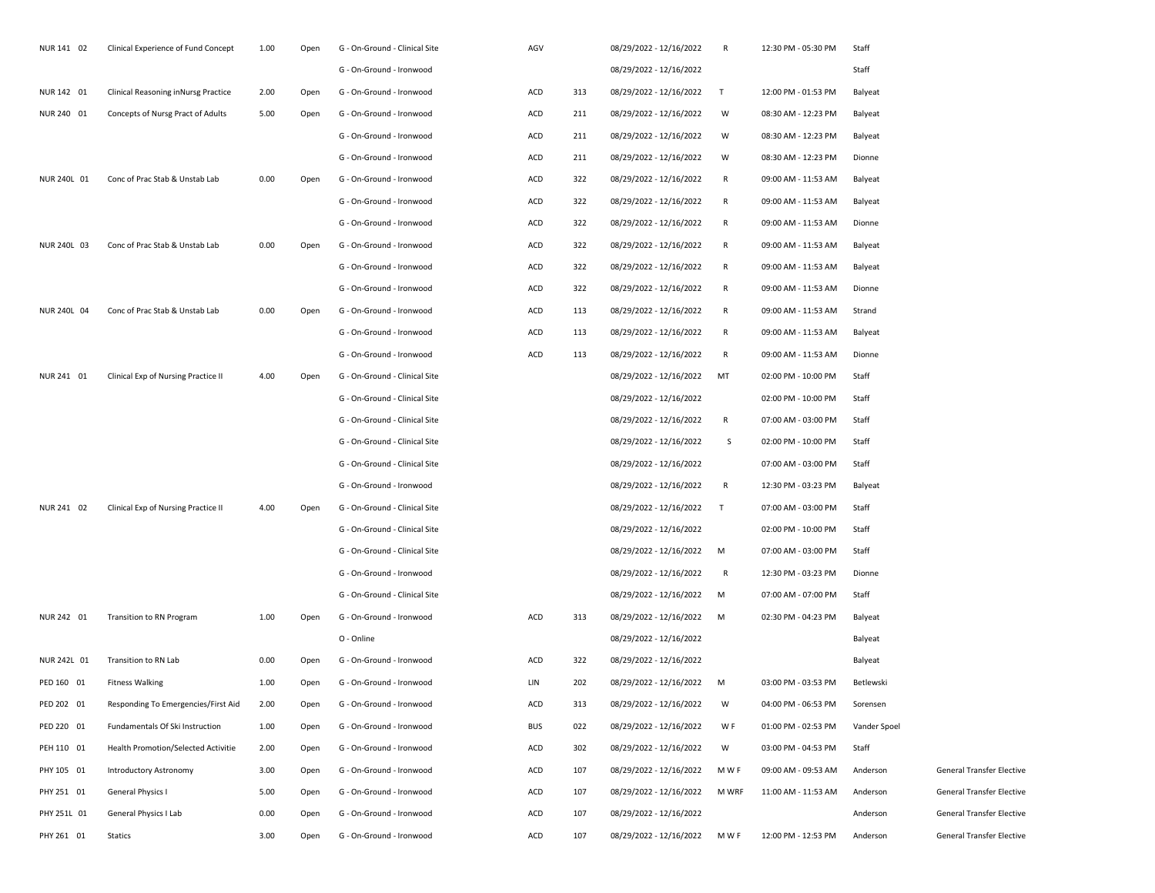| NUR 141 02  | Clinical Experience of Fund Concept | 1.00 | Open | G - On-Ground - Clinical Site | AGV        |     | 08/29/2022 - 12/16/2022 | R            | 12:30 PM - 05:30 PM | Staff        |                                  |
|-------------|-------------------------------------|------|------|-------------------------------|------------|-----|-------------------------|--------------|---------------------|--------------|----------------------------------|
|             |                                     |      |      | G - On-Ground - Ironwood      |            |     | 08/29/2022 - 12/16/2022 |              |                     | Staff        |                                  |
| NUR 142 01  | Clinical Reasoning inNursg Practice | 2.00 | Open | G - On-Ground - Ironwood      | ACD        | 313 | 08/29/2022 - 12/16/2022 | T            | 12:00 PM - 01:53 PM | Balyeat      |                                  |
| NUR 240 01  | Concepts of Nursg Pract of Adults   | 5.00 | Open | G - On-Ground - Ironwood      | ACD        | 211 | 08/29/2022 - 12/16/2022 | W            | 08:30 AM - 12:23 PM | Balyeat      |                                  |
|             |                                     |      |      | G - On-Ground - Ironwood      | ACD        | 211 | 08/29/2022 - 12/16/2022 | W            | 08:30 AM - 12:23 PM | Balyeat      |                                  |
|             |                                     |      |      | G - On-Ground - Ironwood      | ACD        | 211 | 08/29/2022 - 12/16/2022 | W            | 08:30 AM - 12:23 PM | Dionne       |                                  |
| NUR 240L 01 | Conc of Prac Stab & Unstab Lab      | 0.00 | Open | G - On-Ground - Ironwood      | ACD        | 322 | 08/29/2022 - 12/16/2022 | $\mathsf R$  | 09:00 AM - 11:53 AM | Balyeat      |                                  |
|             |                                     |      |      | G - On-Ground - Ironwood      | ACD        | 322 | 08/29/2022 - 12/16/2022 | $\mathsf R$  | 09:00 AM - 11:53 AM | Balyeat      |                                  |
|             |                                     |      |      | G - On-Ground - Ironwood      | ACD        | 322 | 08/29/2022 - 12/16/2022 | $\mathsf{R}$ | 09:00 AM - 11:53 AM | Dionne       |                                  |
| NUR 240L 03 | Conc of Prac Stab & Unstab Lab      | 0.00 | Open | G - On-Ground - Ironwood      | ACD        | 322 | 08/29/2022 - 12/16/2022 | $\mathsf R$  | 09:00 AM - 11:53 AM | Balyeat      |                                  |
|             |                                     |      |      | G - On-Ground - Ironwood      | ACD        | 322 | 08/29/2022 - 12/16/2022 | $\mathsf R$  | 09:00 AM - 11:53 AM | Balyeat      |                                  |
|             |                                     |      |      | G - On-Ground - Ironwood      | ACD        | 322 | 08/29/2022 - 12/16/2022 | $\mathsf{R}$ | 09:00 AM - 11:53 AM | Dionne       |                                  |
| NUR 240L 04 | Conc of Prac Stab & Unstab Lab      | 0.00 | Open | G - On-Ground - Ironwood      | ACD        | 113 | 08/29/2022 - 12/16/2022 | R            | 09:00 AM - 11:53 AM | Strand       |                                  |
|             |                                     |      |      | G - On-Ground - Ironwood      | ACD        | 113 | 08/29/2022 - 12/16/2022 | R            | 09:00 AM - 11:53 AM | Balyeat      |                                  |
|             |                                     |      |      | G - On-Ground - Ironwood      | <b>ACD</b> | 113 | 08/29/2022 - 12/16/2022 | R            | 09:00 AM - 11:53 AM | Dionne       |                                  |
| NUR 241 01  | Clinical Exp of Nursing Practice II | 4.00 | Open | G - On-Ground - Clinical Site |            |     | 08/29/2022 - 12/16/2022 | MT           | 02:00 PM - 10:00 PM | Staff        |                                  |
|             |                                     |      |      | G - On-Ground - Clinical Site |            |     | 08/29/2022 - 12/16/2022 |              | 02:00 PM - 10:00 PM | Staff        |                                  |
|             |                                     |      |      | G - On-Ground - Clinical Site |            |     | 08/29/2022 - 12/16/2022 | R            | 07:00 AM - 03:00 PM | Staff        |                                  |
|             |                                     |      |      | G - On-Ground - Clinical Site |            |     | 08/29/2022 - 12/16/2022 | S.           | 02:00 PM - 10:00 PM | Staff        |                                  |
|             |                                     |      |      | G - On-Ground - Clinical Site |            |     | 08/29/2022 - 12/16/2022 |              | 07:00 AM - 03:00 PM | Staff        |                                  |
|             |                                     |      |      | G - On-Ground - Ironwood      |            |     | 08/29/2022 - 12/16/2022 | R            | 12:30 PM - 03:23 PM | Balyeat      |                                  |
| NUR 241 02  | Clinical Exp of Nursing Practice II | 4.00 | Open | G - On-Ground - Clinical Site |            |     | 08/29/2022 - 12/16/2022 | $\top$       | 07:00 AM - 03:00 PM | Staff        |                                  |
|             |                                     |      |      | G - On-Ground - Clinical Site |            |     | 08/29/2022 - 12/16/2022 |              | 02:00 PM - 10:00 PM | Staff        |                                  |
|             |                                     |      |      | G - On-Ground - Clinical Site |            |     | 08/29/2022 - 12/16/2022 | M            | 07:00 AM - 03:00 PM | Staff        |                                  |
|             |                                     |      |      | G - On-Ground - Ironwood      |            |     | 08/29/2022 - 12/16/2022 | R            | 12:30 PM - 03:23 PM | Dionne       |                                  |
|             |                                     |      |      | G - On-Ground - Clinical Site |            |     | 08/29/2022 - 12/16/2022 | M            | 07:00 AM - 07:00 PM | Staff        |                                  |
| NUR 242 01  | Transition to RN Program            | 1.00 | Open | G - On-Ground - Ironwood      | ACD        | 313 | 08/29/2022 - 12/16/2022 | M            | 02:30 PM - 04:23 PM | Balyeat      |                                  |
|             |                                     |      |      | O - Online                    |            |     | 08/29/2022 - 12/16/2022 |              |                     | Balyeat      |                                  |
| NUR 242L 01 | Transition to RN Lab                | 0.00 | Open | G - On-Ground - Ironwood      | ACD        | 322 | 08/29/2022 - 12/16/2022 |              |                     | Balyeat      |                                  |
| PED 160 01  | <b>Fitness Walking</b>              | 1.00 | Open | G - On-Ground - Ironwood      | LIN        | 202 | 08/29/2022 - 12/16/2022 | M            | 03:00 PM - 03:53 PM | Betlewski    |                                  |
| PED 202 01  | Responding To Emergencies/First Aid | 2.00 | Open | G - On-Ground - Ironwood      | ACD        | 313 | 08/29/2022 - 12/16/2022 | W            | 04:00 PM - 06:53 PM | Sorensen     |                                  |
| PED 220 01  | Fundamentals Of Ski Instruction     | 1.00 | Open | G - On-Ground - Ironwood      | <b>BUS</b> | 022 | 08/29/2022 - 12/16/2022 | W F          | 01:00 PM - 02:53 PM | Vander Spoel |                                  |
| PEH 110 01  | Health Promotion/Selected Activitie | 2.00 | Open | G - On-Ground - Ironwood      | ACD        | 302 | 08/29/2022 - 12/16/2022 | W            | 03:00 PM - 04:53 PM | Staff        |                                  |
| PHY 105 01  | Introductory Astronomy              | 3.00 | Open | G - On-Ground - Ironwood      | ACD        | 107 | 08/29/2022 - 12/16/2022 | M W F        | 09:00 AM - 09:53 AM | Anderson     | <b>General Transfer Elective</b> |
| PHY 251 01  | General Physics I                   | 5.00 | Open | G - On-Ground - Ironwood      | ACD        | 107 | 08/29/2022 - 12/16/2022 | M WRF        | 11:00 AM - 11:53 AM | Anderson     | <b>General Transfer Elective</b> |
| PHY 251L 01 | General Physics I Lab               | 0.00 | Open | G - On-Ground - Ironwood      | ACD        | 107 | 08/29/2022 - 12/16/2022 |              |                     | Anderson     | <b>General Transfer Elective</b> |
| PHY 261 01  | Statics                             | 3.00 | Open | G - On-Ground - Ironwood      | ACD        | 107 | 08/29/2022 - 12/16/2022 | M W F        | 12:00 PM - 12:53 PM | Anderson     | <b>General Transfer Elective</b> |
|             |                                     |      |      |                               |            |     |                         |              |                     |              |                                  |